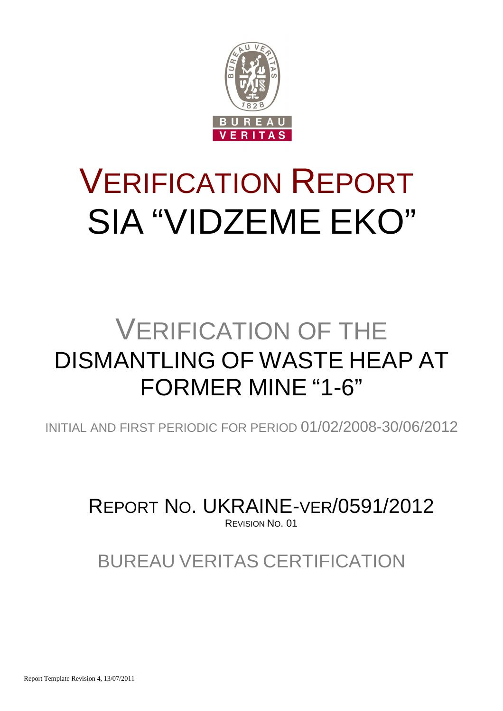

# VERIFICATION REPORT SIA "VIDZEME EKO"

## VERIFICATION OF THE DISMANTLING OF WASTE HEAP AT FORMER MINE "1-6"

INITIAL AND FIRST PERIODIC FOR PERIOD 01/02/2008-30/06/2012

REPORT NO. UKRAINE-VER/0591/2012 REVISION NO. 01

BUREAU VERITAS CERTIFICATION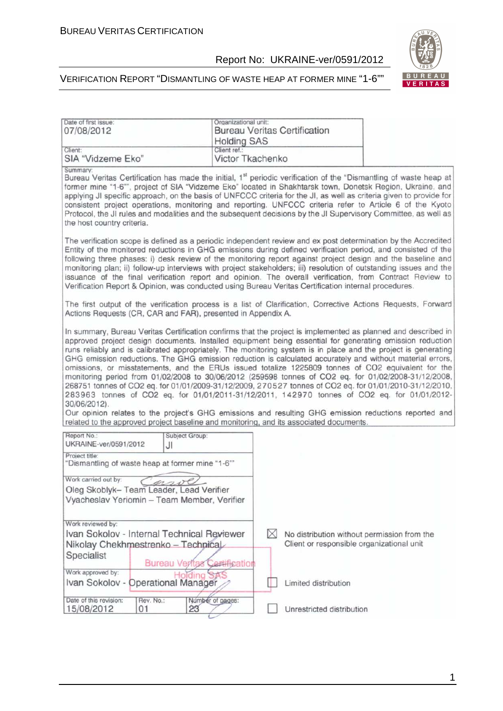

| Date of first issue:<br>07/08/2012                                                                                                                                                                                                                                                                                                                                                                                                                                                                                                                                                                                                                                                                                                                                                                                                                                                                                                                                                                                                                                                                   | Organizational unit:<br><b>Holding SAS</b> | <b>Bureau Veritas Certification</b> |                           |                                                                                          |
|------------------------------------------------------------------------------------------------------------------------------------------------------------------------------------------------------------------------------------------------------------------------------------------------------------------------------------------------------------------------------------------------------------------------------------------------------------------------------------------------------------------------------------------------------------------------------------------------------------------------------------------------------------------------------------------------------------------------------------------------------------------------------------------------------------------------------------------------------------------------------------------------------------------------------------------------------------------------------------------------------------------------------------------------------------------------------------------------------|--------------------------------------------|-------------------------------------|---------------------------|------------------------------------------------------------------------------------------|
| Client:<br>SIA "Vidzeme Eko"                                                                                                                                                                                                                                                                                                                                                                                                                                                                                                                                                                                                                                                                                                                                                                                                                                                                                                                                                                                                                                                                         | Client ref.:<br>Victor Tkachenko           |                                     |                           |                                                                                          |
| Summary:<br>Bureau Veritas Certification has made the initial, 1 <sup>st</sup> periodic verification of the "Dismantling of waste heap at<br>former mine "1-6"", project of SIA "Vidzeme Eko" located in Shakhtarsk town, Donetsk Region, Ukraine, and<br>applying JI specific approach, on the basis of UNFCCC criteria for the JI, as well as criteria given to provide for<br>consistent project operations, monitoring and reporting. UNFCCC criteria refer to Article 6 of the Kyoto<br>Protocol, the JI rules and modalities and the subsequent decisions by the JI Supervisory Committee, as well as<br>the host country criteria.                                                                                                                                                                                                                                                                                                                                                                                                                                                            |                                            |                                     |                           |                                                                                          |
| The verification scope is defined as a periodic independent review and ex post determination by the Accredited<br>Entity of the monitored reductions in GHG emissions during defined verification period, and consisted of the<br>following three phases: i) desk review of the monitoring report against project design and the baseline and<br>monitoring plan; ii) follow-up interviews with project stakeholders; iii) resolution of outstanding issues and the<br>issuance of the final verification report and opinion. The overall verification, from Contract Review to<br>Verification Report & Opinion, was conducted using Bureau Veritas Certification internal procedures.                                                                                                                                                                                                                                                                                                                                                                                                              |                                            |                                     |                           |                                                                                          |
| The first output of the verification process is a list of Clarification, Corrective Actions Requests, Forward<br>Actions Requests (CR, CAR and FAR), presented in Appendix A.                                                                                                                                                                                                                                                                                                                                                                                                                                                                                                                                                                                                                                                                                                                                                                                                                                                                                                                        |                                            |                                     |                           |                                                                                          |
| In summary, Bureau Veritas Certification confirms that the project is implemented as planned and described in<br>approved project design documents. Installed equipment being essential for generating emission reduction<br>runs reliably and is calibrated appropriately. The monitoring system is in place and the project is generating<br>GHG emission reductions. The GHG emission reduction is calculated accurately and without material errors,<br>omissions, or misstatements, and the ERUs issued totalize 1225809 tonnes of CO2 equivalent for the<br>monitoring period from 01/02/2008 to 30/06/2012 (259598 tonnes of CO2 eq. for 01/02/2008-31/12/2008,<br>268751 tonnes of CO2 eq. for 01/01/2009-31/12/2009, 270527 tonnes of CO2 eq. for 01/01/2010-31/12/2010,<br>283963 tonnes of CO2 eq. for 01/01/2011-31/12/2011, 142970 tonnes of CO2 eq. for 01/01/2012-<br>30/06/2012).<br>Our opinion relates to the project's GHG emissions and resulting GHG emission reductions reported and<br>related to the approved project baseline and monitoring, and its associated documents. |                                            |                                     |                           |                                                                                          |
| Report No.:<br>UKRAINE-ver/0591/2012<br>JI                                                                                                                                                                                                                                                                                                                                                                                                                                                                                                                                                                                                                                                                                                                                                                                                                                                                                                                                                                                                                                                           | Subject Group:                             |                                     |                           |                                                                                          |
| Project title:<br>"Dismantling of waste heap at former mine "1-6""<br>Work carried out by:<br>ar<br>Oleg Skoblyk- Team Leader, Lead Verifier                                                                                                                                                                                                                                                                                                                                                                                                                                                                                                                                                                                                                                                                                                                                                                                                                                                                                                                                                         |                                            |                                     |                           |                                                                                          |
| Vyacheslav Yeriomin - Team Member, Verifier                                                                                                                                                                                                                                                                                                                                                                                                                                                                                                                                                                                                                                                                                                                                                                                                                                                                                                                                                                                                                                                          |                                            |                                     |                           |                                                                                          |
| Work reviewed by:<br>Ivan Sokolov - Internal Technical Reviewer<br>Nikolay Chekhmestrenko - Technical<br>Specialist<br>Work approved by:                                                                                                                                                                                                                                                                                                                                                                                                                                                                                                                                                                                                                                                                                                                                                                                                                                                                                                                                                             | <b>Bureau Vertas Certification</b>         | M                                   |                           | No distribution without permission from the<br>Client or responsible organizational unit |
| Work approved by:<br>Ivan Sokolov - Operational Manager                                                                                                                                                                                                                                                                                                                                                                                                                                                                                                                                                                                                                                                                                                                                                                                                                                                                                                                                                                                                                                              |                                            |                                     | Limited distribution      |                                                                                          |
| Date of this revision:<br>Rev. No.:<br>15/08/2012<br>01                                                                                                                                                                                                                                                                                                                                                                                                                                                                                                                                                                                                                                                                                                                                                                                                                                                                                                                                                                                                                                              | Number of pages:<br>23                     |                                     | Unrestricted distribution |                                                                                          |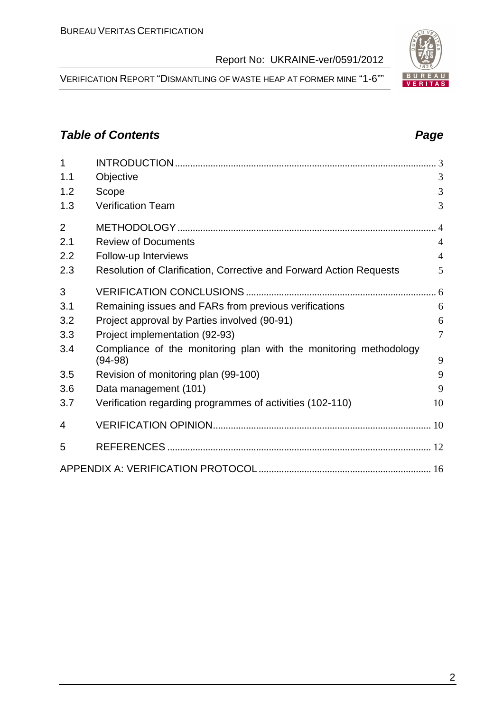VERIFICATION REPORT "DISMANTLING OF WASTE HEAP AT FORMER MINE "1-6""

### **Table of Contents Page 2014**

| 1              |                                                                                |                |
|----------------|--------------------------------------------------------------------------------|----------------|
| 1.1            | Objective                                                                      | 3              |
| 1.2            | Scope                                                                          | 3              |
| 1.3            | Verification Team                                                              | 3              |
| $\overline{2}$ |                                                                                |                |
| 2.1            | <b>Review of Documents</b>                                                     | $\overline{4}$ |
| 2.2            | Follow-up Interviews                                                           | $\overline{4}$ |
| 2.3            | Resolution of Clarification, Corrective and Forward Action Requests            | 5              |
| 3              |                                                                                |                |
| 3.1            | Remaining issues and FARs from previous verifications                          | 6              |
| 3.2            | Project approval by Parties involved (90-91)                                   | 6              |
| 3.3            | Project implementation (92-93)                                                 | $\overline{7}$ |
| 3.4            | Compliance of the monitoring plan with the monitoring methodology<br>$(94-98)$ | 9              |
| 3.5            | Revision of monitoring plan (99-100)                                           | 9              |
| 3.6            | Data management (101)                                                          | 9              |
| 3.7            | Verification regarding programmes of activities (102-110)                      | 10             |
| 4              |                                                                                |                |
| 5              |                                                                                |                |
|                |                                                                                |                |

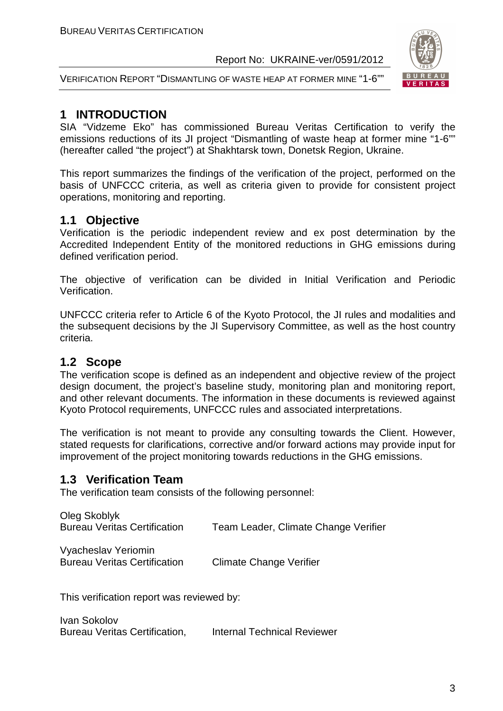



#### **1 INTRODUCTION**

SIA "Vidzeme Eko" has commissioned Bureau Veritas Certification to verify the emissions reductions of its JI project "Dismantling of waste heap at former mine "1-6"" (hereafter called "the project") at Shakhtarsk town, Donetsk Region, Ukraine.

This report summarizes the findings of the verification of the project, performed on the basis of UNFCCC criteria, as well as criteria given to provide for consistent project operations, monitoring and reporting.

#### **1.1 Objective**

Verification is the periodic independent review and ex post determination by the Accredited Independent Entity of the monitored reductions in GHG emissions during defined verification period.

The objective of verification can be divided in Initial Verification and Periodic Verification.

UNFCCC criteria refer to Article 6 of the Kyoto Protocol, the JI rules and modalities and the subsequent decisions by the JI Supervisory Committee, as well as the host country criteria.

#### **1.2 Scope**

The verification scope is defined as an independent and objective review of the project design document, the project's baseline study, monitoring plan and monitoring report, and other relevant documents. The information in these documents is reviewed against Kyoto Protocol requirements, UNFCCC rules and associated interpretations.

The verification is not meant to provide any consulting towards the Client. However, stated requests for clarifications, corrective and/or forward actions may provide input for improvement of the project monitoring towards reductions in the GHG emissions.

#### **1.3 Verification Team**

The verification team consists of the following personnel:

| Oleg Skoblyk<br><b>Bureau Veritas Certification</b>        | Team Leader, Climate Change Verifier |
|------------------------------------------------------------|--------------------------------------|
| Vyacheslav Yeriomin<br><b>Bureau Veritas Certification</b> | <b>Climate Change Verifier</b>       |

This verification report was reviewed by:

Ivan Sokolov Bureau Veritas Certification, Internal Technical Reviewer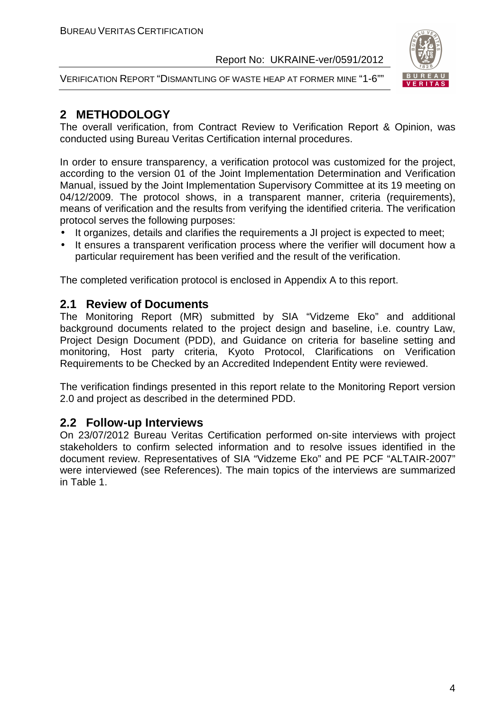VERIFICATION REPORT "DISMANTLING OF WASTE HEAP AT FORMER MINE "1-6""



#### **2 METHODOLOGY**

The overall verification, from Contract Review to Verification Report & Opinion, was conducted using Bureau Veritas Certification internal procedures.

In order to ensure transparency, a verification protocol was customized for the project, according to the version 01 of the Joint Implementation Determination and Verification Manual, issued by the Joint Implementation Supervisory Committee at its 19 meeting on 04/12/2009. The protocol shows, in a transparent manner, criteria (requirements), means of verification and the results from verifying the identified criteria. The verification protocol serves the following purposes:

- It organizes, details and clarifies the requirements a JI project is expected to meet;
- It ensures a transparent verification process where the verifier will document how a particular requirement has been verified and the result of the verification.

The completed verification protocol is enclosed in Appendix A to this report.

#### **2.1 Review of Documents**

The Monitoring Report (MR) submitted by SIA "Vidzeme Eko" and additional background documents related to the project design and baseline, i.e. country Law, Project Design Document (PDD), and Guidance on criteria for baseline setting and monitoring, Host party criteria, Kyoto Protocol, Clarifications on Verification Requirements to be Checked by an Accredited Independent Entity were reviewed.

The verification findings presented in this report relate to the Monitoring Report version 2.0 and project as described in the determined PDD.

#### **2.2 Follow-up Interviews**

On 23/07/2012 Bureau Veritas Certification performed on-site interviews with project stakeholders to confirm selected information and to resolve issues identified in the document review. Representatives of SIA "Vidzeme Eko" and PE PCF "ALTAIR-2007" were interviewed (see References). The main topics of the interviews are summarized in Table 1.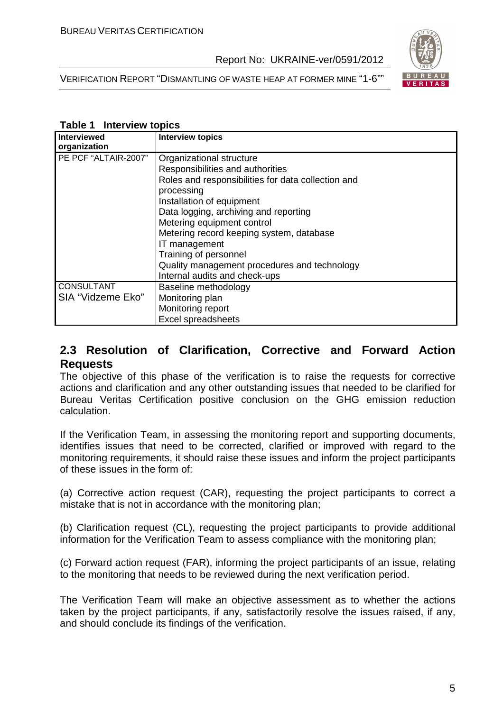



#### **Table 1 Interview topics**

| <b>Interviewed</b>   | <b>Interview topics</b>                            |
|----------------------|----------------------------------------------------|
| organization         |                                                    |
| PE PCF "ALTAIR-2007" | Organizational structure                           |
|                      | Responsibilities and authorities                   |
|                      | Roles and responsibilities for data collection and |
|                      | processing                                         |
|                      | Installation of equipment                          |
|                      | Data logging, archiving and reporting              |
|                      | Metering equipment control                         |
|                      | Metering record keeping system, database           |
|                      | IT management                                      |
|                      | Training of personnel                              |
|                      | Quality management procedures and technology       |
|                      | Internal audits and check-ups                      |
| <b>CONSULTANT</b>    | Baseline methodology                               |
| SIA "Vidzeme Eko"    | Monitoring plan                                    |
|                      | Monitoring report                                  |
|                      | <b>Excel spreadsheets</b>                          |

#### **2.3 Resolution of Clarification, Corrective and Forward Action Requests**

The objective of this phase of the verification is to raise the requests for corrective actions and clarification and any other outstanding issues that needed to be clarified for Bureau Veritas Certification positive conclusion on the GHG emission reduction calculation.

If the Verification Team, in assessing the monitoring report and supporting documents, identifies issues that need to be corrected, clarified or improved with regard to the monitoring requirements, it should raise these issues and inform the project participants of these issues in the form of:

(a) Corrective action request (CAR), requesting the project participants to correct a mistake that is not in accordance with the monitoring plan;

(b) Clarification request (CL), requesting the project participants to provide additional information for the Verification Team to assess compliance with the monitoring plan;

(c) Forward action request (FAR), informing the project participants of an issue, relating to the monitoring that needs to be reviewed during the next verification period.

The Verification Team will make an objective assessment as to whether the actions taken by the project participants, if any, satisfactorily resolve the issues raised, if any, and should conclude its findings of the verification.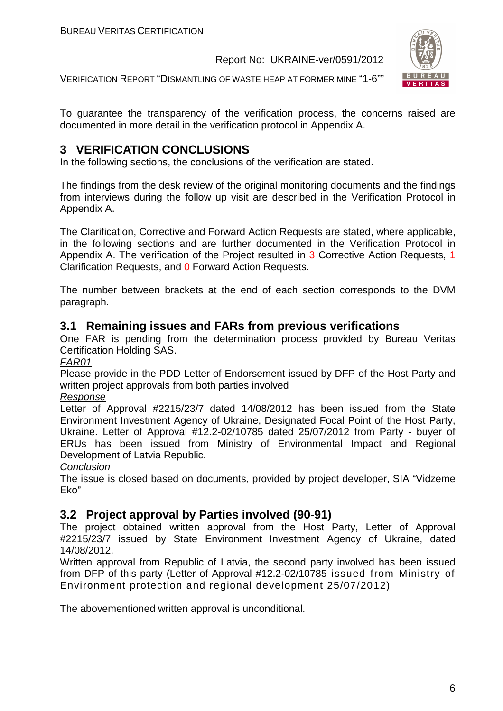VERIFICATION REPORT "DISMANTLING OF WASTE HEAP AT FORMER MINE "1-6""



To guarantee the transparency of the verification process, the concerns raised are documented in more detail in the verification protocol in Appendix A.

#### **3 VERIFICATION CONCLUSIONS**

In the following sections, the conclusions of the verification are stated.

The findings from the desk review of the original monitoring documents and the findings from interviews during the follow up visit are described in the Verification Protocol in Appendix A.

The Clarification, Corrective and Forward Action Requests are stated, where applicable, in the following sections and are further documented in the Verification Protocol in Appendix A. The verification of the Project resulted in 3 Corrective Action Requests, 1 Clarification Requests, and 0 Forward Action Requests.

The number between brackets at the end of each section corresponds to the DVM paragraph.

#### **3.1 Remaining issues and FARs from previous verifications**

One FAR is pending from the determination process provided by Bureau Veritas Certification Holding SAS.

FAR01

Please provide in the PDD Letter of Endorsement issued by DFP of the Host Party and written project approvals from both parties involved

#### Response

Letter of Approval #2215/23/7 dated 14/08/2012 has been issued from the State Environment Investment Agency of Ukraine, Designated Focal Point of the Host Party, Ukraine. Letter of Approval #12.2-02/10785 dated 25/07/2012 from Party - buyer of ERUs has been issued from Ministry of Environmental Impact and Regional Development of Latvia Republic.

#### **Conclusion**

The issue is closed based on documents, provided by project developer, SIA "Vidzeme Eko"

#### **3.2 Project approval by Parties involved (90-91)**

The project obtained written approval from the Host Party, Letter of Approval #2215/23/7 issued by State Environment Investment Agency of Ukraine, dated 14/08/2012.

Written approval from Republic of Latvia, the second party involved has been issued from DFP of this party (Letter of Approval #12.2-02/10785 issued from Ministry of Environment protection and regional development 25/07/2012)

The abovementioned written approval is unconditional.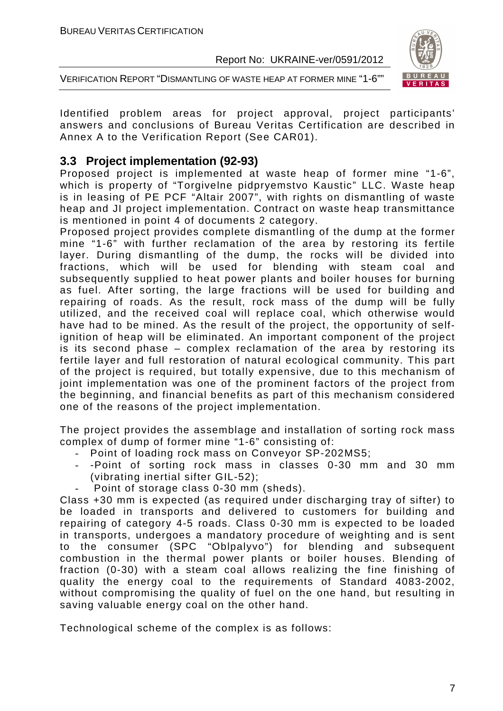

VERIFICATION REPORT "DISMANTLING OF WASTE HEAP AT FORMER MINE "1-6""

Identified problem areas for project approval, project participants' answers and conclusions of Bureau Veritas Certification are described in Annex A to the Verification Report (See CAR01).

#### **3.3 Project implementation (92-93)**

Proposed project is implemented at waste heap of former mine "1-6", which is property of "Torgivelne pidpryemstvo Kaustic" LLC. Waste heap is in leasing of PE PCF "Altair 2007", with rights on dismantling of waste heap and JI project implementation. Contract on waste heap transmittance is mentioned in point 4 of documents 2 category.

Proposed project provides complete dismantling of the dump at the former mine "1-6" with further reclamation of the area by restoring its fertile layer. During dismantling of the dump, the rocks will be divided into fractions, which will be used for blending with steam coal and subsequently supplied to heat power plants and boiler houses for burning as fuel. After sorting, the large fractions will be used for building and repairing of roads. As the result, rock mass of the dump will be fully utilized, and the received coal will replace coal, which otherwise would have had to be mined. As the result of the project, the opportunity of selfignition of heap will be eliminated. An important component of the project is its second phase – complex reclamation of the area by restoring its fertile layer and full restoration of natural ecological community. This part of the project is required, but totally expensive, due to this mechanism of joint implementation was one of the prominent factors of the project from the beginning, and financial benefits as part of this mechanism considered one of the reasons of the project implementation.

The project provides the assemblage and installation of sorting rock mass complex of dump of former mine "1-6" consisting of:

- Point of loading rock mass on Conveyor SP-202MS5;
- -Point of sorting rock mass in classes 0-30 mm and 30 mm (vibrating inertial sifter GIL-52);
	- Point of storage class 0-30 mm (sheds).

Class +30 mm is expected (as required under discharging tray of sifter) to be loaded in transports and delivered to customers for building and repairing of category 4-5 roads. Class 0-30 mm is expected to be loaded in transports, undergoes a mandatory procedure of weighting and is sent to the consumer (SPC "Oblpalyvo") for blending and subsequent combustion in the thermal power plants or boiler houses. Blending of fraction (0-30) with a steam coal allows realizing the fine finishing of quality the energy coal to the requirements of Standard 4083-2002, without compromising the quality of fuel on the one hand, but resulting in saving valuable energy coal on the other hand.

Technological scheme of the complex is as follows: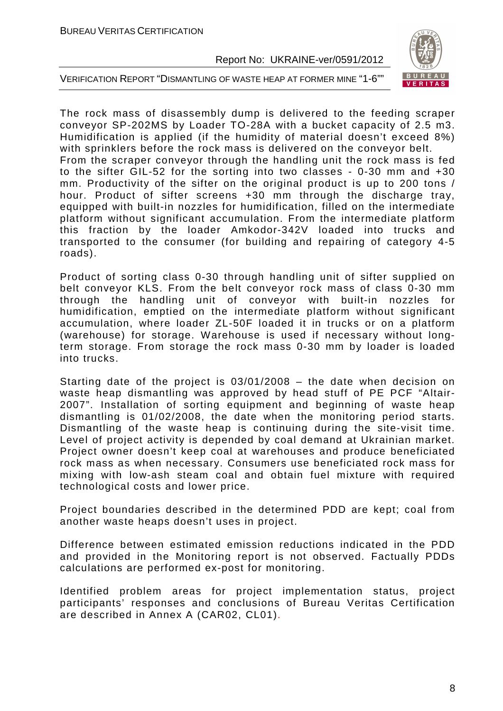

VERIFICATION REPORT "DISMANTLING OF WASTE HEAP AT FORMER MINE "1-6""

The rock mass of disassembly dump is delivered to the feeding scraper conveyor SP-202MS by Loader TO-28A with a bucket capacity of 2.5 m3. Humidification is applied (if the humidity of material doesn't exceed 8%) with sprinklers before the rock mass is delivered on the conveyor belt. From the scraper conveyor through the handling unit the rock mass is fed to the sifter GIL-52 for the sorting into two classes - 0-30 mm and +30 mm. Productivity of the sifter on the original product is up to 200 tons / hour. Product of sifter screens +30 mm through the discharge tray, equipped with built-in nozzles for humidification, filled on the intermediate platform without significant accumulation. From the intermediate platform this fraction by the loader Amkodor-342V loaded into trucks and transported to the consumer (for building and repairing of category 4-5 roads).

Product of sorting class 0-30 through handling unit of sifter supplied on belt conveyor KLS. From the belt conveyor rock mass of class 0-30 mm through the handling unit of conveyor with built-in nozzles for humidification, emptied on the intermediate platform without significant accumulation, where loader ZL-50F loaded it in trucks or on a platform (warehouse) for storage. Warehouse is used if necessary without longterm storage. From storage the rock mass 0-30 mm by loader is loaded into trucks.

Starting date of the project is 03/01/2008 – the date when decision on waste heap dismantling was approved by head stuff of PE PCF "Altair-2007". Installation of sorting equipment and beginning of waste heap dismantling is 01/02/2008, the date when the monitoring period starts. Dismantling of the waste heap is continuing during the site-visit time. Level of project activity is depended by coal demand at Ukrainian market. Project owner doesn't keep coal at warehouses and produce beneficiated rock mass as when necessary. Consumers use beneficiated rock mass for mixing with low-ash steam coal and obtain fuel mixture with required technological costs and lower price.

Project boundaries described in the determined PDD are kept; coal from another waste heaps doesn't uses in project.

Difference between estimated emission reductions indicated in the PDD and provided in the Monitoring report is not observed. Factually PDDs calculations are performed ex-post for monitoring.

Identified problem areas for project implementation status, project participants' responses and conclusions of Bureau Veritas Certification are described in Annex A (CAR02, CL01).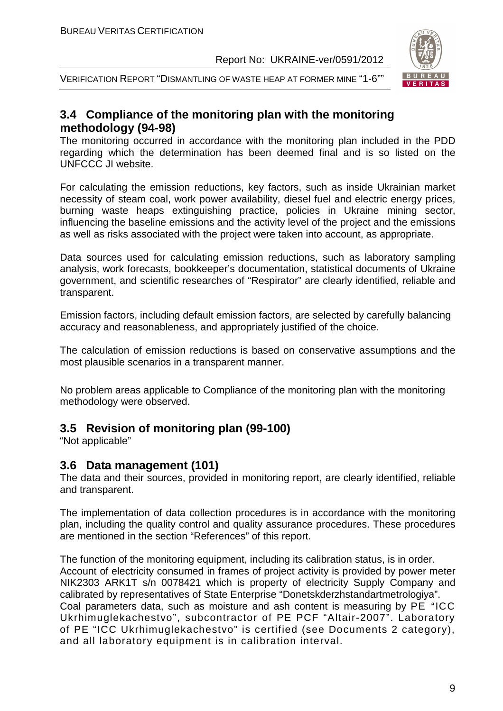

VERIFICATION REPORT "DISMANTLING OF WASTE HEAP AT FORMER MINE "1-6""

#### **3.4 Compliance of the monitoring plan with the monitoring methodology (94-98)**

The monitoring occurred in accordance with the monitoring plan included in the PDD regarding which the determination has been deemed final and is so listed on the UNFCCC JI website.

For calculating the emission reductions, key factors, such as inside Ukrainian market necessity of steam coal, work power availability, diesel fuel and electric energy prices, burning waste heaps extinguishing practice, policies in Ukraine mining sector, influencing the baseline emissions and the activity level of the project and the emissions as well as risks associated with the project were taken into account, as appropriate.

Data sources used for calculating emission reductions, such as laboratory sampling analysis, work forecasts, bookkeeper's documentation, statistical documents of Ukraine government, and scientific researches of "Respirator" are clearly identified, reliable and transparent.

Emission factors, including default emission factors, are selected by carefully balancing accuracy and reasonableness, and appropriately justified of the choice.

The calculation of emission reductions is based on conservative assumptions and the most plausible scenarios in a transparent manner.

No problem areas applicable to Compliance of the monitoring plan with the monitoring methodology were observed.

#### **3.5 Revision of monitoring plan (99-100)**

"Not applicable"

#### **3.6 Data management (101)**

The data and their sources, provided in monitoring report, are clearly identified, reliable and transparent.

The implementation of data collection procedures is in accordance with the monitoring plan, including the quality control and quality assurance procedures. These procedures are mentioned in the section "References" of this report.

The function of the monitoring equipment, including its calibration status, is in order. Account of electricity consumed in frames of project activity is provided by power meter NIK2303 ARK1T s/n 0078421 which is property of electricity Supply Company and calibrated by representatives of State Enterprise "Donetskderzhstandartmetrologiya". Coal parameters data, such as moisture and ash content is measuring by PE "ICC Ukrhimuglekachestvo", subcontractor of PE PCF "Altair-2007". Laboratory of PE "ICC Ukrhimuglekachestvo" is certified (see Documents 2 category), and all laboratory equipment is in calibration interval.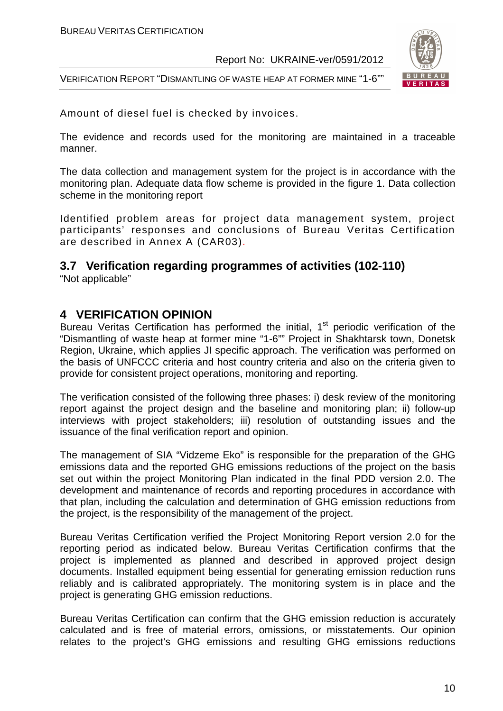VERIFICATION REPORT "DISMANTLING OF WASTE HEAP AT FORMER MINE "1-6""



Amount of diesel fuel is checked by invoices.

The evidence and records used for the monitoring are maintained in a traceable manner.

The data collection and management system for the project is in accordance with the monitoring plan. Adequate data flow scheme is provided in the figure 1. Data collection scheme in the monitoring report

Identified problem areas for project data management system, project participants' responses and conclusions of Bureau Veritas Certification are described in Annex A (CAR03).

#### **3.7 Verification regarding programmes of activities (102-110)**

"Not applicable"

#### **4 VERIFICATION OPINION**

Bureau Veritas Certification has performed the initial, 1<sup>st</sup> periodic verification of the "Dismantling of waste heap at former mine "1-6"" Project in Shakhtarsk town, Donetsk Region, Ukraine, which applies JI specific approach. The verification was performed on the basis of UNFCCC criteria and host country criteria and also on the criteria given to provide for consistent project operations, monitoring and reporting.

The verification consisted of the following three phases: i) desk review of the monitoring report against the project design and the baseline and monitoring plan; ii) follow-up interviews with project stakeholders; iii) resolution of outstanding issues and the issuance of the final verification report and opinion.

The management of SIA "Vidzeme Eko" is responsible for the preparation of the GHG emissions data and the reported GHG emissions reductions of the project on the basis set out within the project Monitoring Plan indicated in the final PDD version 2.0. The development and maintenance of records and reporting procedures in accordance with that plan, including the calculation and determination of GHG emission reductions from the project, is the responsibility of the management of the project.

Bureau Veritas Certification verified the Project Monitoring Report version 2.0 for the reporting period as indicated below. Bureau Veritas Certification confirms that the project is implemented as planned and described in approved project design documents. Installed equipment being essential for generating emission reduction runs reliably and is calibrated appropriately. The monitoring system is in place and the project is generating GHG emission reductions.

Bureau Veritas Certification can confirm that the GHG emission reduction is accurately calculated and is free of material errors, omissions, or misstatements. Our opinion relates to the project's GHG emissions and resulting GHG emissions reductions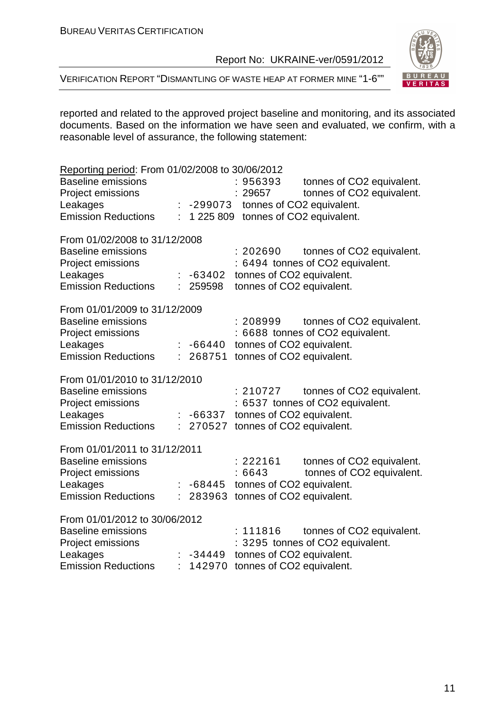

VERIFICATION REPORT "DISMANTLING OF WASTE HEAP AT FORMER MINE "1-6""

reported and related to the approved project baseline and monitoring, and its associated documents. Based on the information we have seen and evaluated, we confirm, with a reasonable level of assurance, the following statement:

| Reporting period: From 01/02/2008 to 30/06/2012<br><b>Baseline emissions</b><br>Project emissions<br>Leakages<br><b>Emission Reductions</b> | ÷ | -299073            | :956393<br>29657<br>tonnes of CO2 equivalent.<br>1 225 809 tonnes of CO2 equivalent.     | tonnes of CO2 equivalent.<br>tonnes of CO2 equivalent.        |
|---------------------------------------------------------------------------------------------------------------------------------------------|---|--------------------|------------------------------------------------------------------------------------------|---------------------------------------------------------------|
| From 01/02/2008 to 31/12/2008<br><b>Baseline emissions</b><br>Project emissions<br>Leakages<br><b>Emission Reductions</b>                   |   | $-63402$<br>259598 | : 202690<br>tonnes of CO2 equivalent.<br>tonnes of CO2 equivalent.                       | tonnes of CO2 equivalent.<br>: 6494 tonnes of CO2 equivalent. |
| From 01/01/2009 to 31/12/2009<br><b>Baseline emissions</b><br>Project emissions<br>Leakages<br><b>Emission Reductions</b>                   |   | $-66440$           | : 208999<br>tonnes of CO2 equivalent.<br>268751 tonnes of CO2 equivalent.                | tonnes of CO2 equivalent.<br>: 6688 tonnes of CO2 equivalent. |
| From 01/01/2010 to 31/12/2010<br><b>Baseline emissions</b><br>Project emissions<br>Leakages<br><b>Emission Reductions</b>                   |   | -66337             | : 210727<br>tonnes of CO2 equivalent.<br>270527 tonnes of CO2 equivalent.                | tonnes of CO2 equivalent.<br>: 6537 tonnes of CO2 equivalent. |
| From 01/01/2011 to 31/12/2011<br><b>Baseline emissions</b><br>Project emissions<br>Leakages<br><b>Emission Reductions</b>                   |   |                    | :222161<br>:6643<br>-68445 tonnes of CO2 equivalent.<br>283963 tonnes of CO2 equivalent. | tonnes of CO2 equivalent.<br>tonnes of CO2 equivalent.        |
| From 01/01/2012 to 30/06/2012<br><b>Baseline emissions</b><br>Project emissions<br>Leakages<br><b>Emission Reductions</b>                   |   | $-34449$           | : 111816<br>tonnes of CO2 equivalent.<br>142970 tonnes of CO2 equivalent.                | tonnes of CO2 equivalent.<br>: 3295 tonnes of CO2 equivalent. |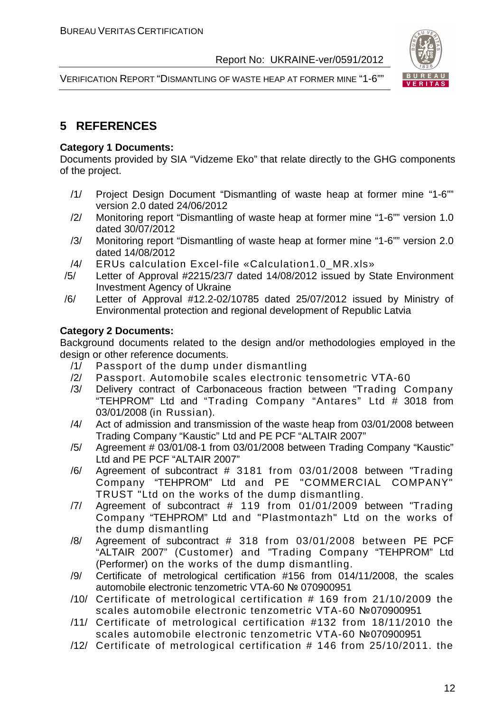



#### **5 REFERENCES**

#### **Category 1 Documents:**

Documents provided by SIA "Vidzeme Eko" that relate directly to the GHG components of the project.

- /1/ Project Design Document "Dismantling of waste heap at former mine "1-6"" version 2.0 dated 24/06/2012
- /2/ Monitoring report "Dismantling of waste heap at former mine "1-6"" version 1.0 dated 30/07/2012
- /3/ Monitoring report "Dismantling of waste heap at former mine "1-6"" version 2.0 dated 14/08/2012
- /4/ ERUs calculation Excel-file «Calculation1.0\_MR.xls»
- /5/ Letter of Approval #2215/23/7 dated 14/08/2012 issued by State Environment Investment Agency of Ukraine
- /6/ Letter of Approval #12.2-02/10785 dated 25/07/2012 issued by Ministry of Environmental protection and regional development of Republic Latvia

#### **Category 2 Documents:**

Background documents related to the design and/or methodologies employed in the design or other reference documents.

- /1/ Passport of the dump under dismantling
- /2/ Passport. Automobile scales electronic tensometric VТА-60
- /3/ Delivery contract of Carbonaceous fraction between "Trading Company "TEHPROM" Ltd and "Trading Company "Antares" Ltd # 3018 from 03/01/2008 (in Russian).
- /4/ Act of admission and transmission of the waste heap from 03/01/2008 between Trading Company "Kaustic" Ltd and PE PCF "ALTAIR 2007"
- /5/ Agreement # 03/01/08-1 from 03/01/2008 between Trading Company "Kaustic" Ltd and PE PCF "ALTAIR 2007"
- /6/ Agreement of subcontract # 3181 from 03/01/2008 between "Trading Company "TEHPROM" Ltd and PE "COMMERCIAL COMPANY" TRUST "Ltd on the works of the dump dismantling.
- /7/ Agreement of subcontract # 119 from 01/01/2009 between "Trading Company "TEHPROM" Ltd and "Plastmontazh" Ltd on the works of the dump dismantling
- /8/ Agreement of subcontract # 318 from 03/01/2008 between PE PCF "ALTAIR 2007" (Customer) and "Trading Company "TEHPROM" Ltd (Performer) on the works of the dump dismantling.
- /9/ Certificate of metrological certification #156 from 014/11/2008, the scales automobile electronic tenzometric VTA-60 № 070900951
- /10/ Certificate of metrological certification # 169 from 21/10/2009 the scales automobile electronic tenzometric VTA-60 №070900951
- /11/ Certificate of metrological certification #132 from 18/11/2010 the scales automobile electronic tenzometric VTA-60 №070900951
- /12/ Certificate of metrological certification # 146 from 25/10/2011. the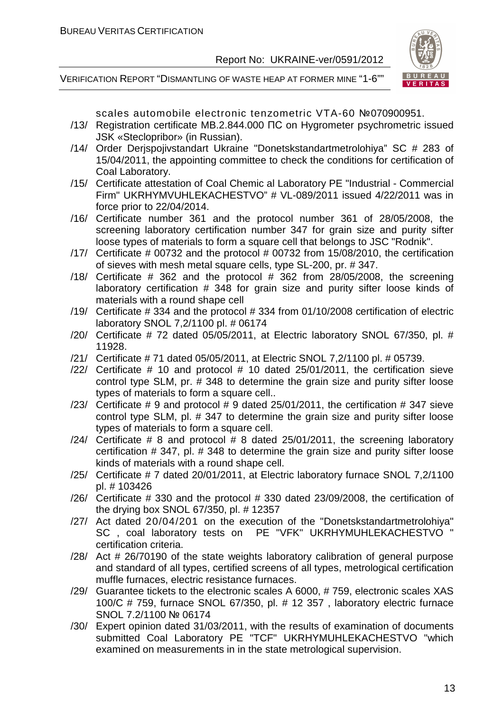

VERIFICATION REPORT "DISMANTLING OF WASTE HEAP AT FORMER MINE "1-6""

scales automobile electronic tenzometric VTA-60 №070900951.

- /13/ Registration certificate MB.2.844.000 ПС on Hygrometer psychrometric issued JSK «Steclopribor» (in Russian).
- /14/ Order Derjspojivstandart Ukraine "Donetskstandartmetrolohiya" SC # 283 of 15/04/2011, the appointing committee to check the conditions for certification of Coal Laboratory.
- /15/ Certificate attestation of Coal Chemic al Laboratory PE "Industrial Commercial Firm" UKRHYMVUHLEKACHESTVO" # VL-089/2011 issued 4/22/2011 was in force prior to 22/04/2014.
- /16/ Certificate number 361 and the protocol number 361 of 28/05/2008, the screening laboratory certification number 347 for grain size and purity sifter loose types of materials to form a square cell that belongs to JSC "Rodnik".
- $/17/$  Certificate # 00732 and the protocol # 00732 from 15/08/2010, the certification of sieves with mesh metal square cells, type SL-200, pr. # 347.
- /18/ Certificate  $#$  362 and the protocol  $#$  362 from 28/05/2008, the screening laboratory certification # 348 for grain size and purity sifter loose kinds of materials with a round shape cell
- /19/ Certificate # 334 and the protocol # 334 from 01/10/2008 certification of electric laboratory SNOL 7,2/1100 pl. # 06174
- /20/ Certificate # 72 dated 05/05/2011, at Electric laboratory SNOL 67/350, pl. # 11928.
- /21/ Certificate # 71 dated 05/05/2011, at Electric SNOL 7,2/1100 pl. # 05739.
- /22/ Certificate # 10 and protocol # 10 dated 25/01/2011, the certification sieve control type SLM, pr. # 348 to determine the grain size and purity sifter loose types of materials to form a square cell..
- $/23/$  Certificate # 9 and protocol # 9 dated 25/01/2011, the certification # 347 sieve control type SLM, pl. # 347 to determine the grain size and purity sifter loose types of materials to form a square cell.
- $/24/$  Certificate # 8 and protocol # 8 dated 25/01/2011, the screening laboratory certification # 347, pl. # 348 to determine the grain size and purity sifter loose kinds of materials with a round shape cell.
- /25/ Certificate # 7 dated 20/01/2011, at Electric laboratory furnace SNOL 7,2/1100 pl. # 103426
- /26/ Certificate # 330 and the protocol # 330 dated 23/09/2008, the certification of the drying box SNOL 67/350, pl. # 12357
- /27/ Act dated 20/04/201 on the execution of the "Donetskstandartmetrolohiya" SC , coal laboratory tests on PE "VFK" UKRHYMUHLEKACHESTVO " certification criteria.
- /28/ Act # 26/70190 of the state weights laboratory calibration of general purpose and standard of all types, certified screens of all types, metrological certification muffle furnaces, electric resistance furnaces.
- /29/ Guarantee tickets to the electronic scales A 6000, # 759, electronic scales XAS 100/C # 759, furnace SNOL 67/350, pl. # 12 357 , laboratory electric furnace SNOL 7.2/1100 № 06174
- /30/ Expert opinion dated 31/03/2011, with the results of examination of documents submitted Coal Laboratory PE "TCF" UKRHYMUHLEKACHESTVO "which examined on measurements in in the state metrological supervision.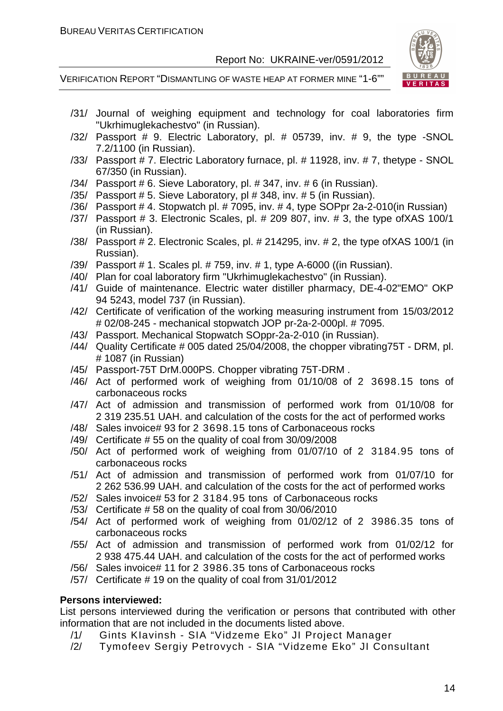

VERIFICATION REPORT "DISMANTLING OF WASTE HEAP AT FORMER MINE "1-6""

- /31/ Journal of weighing equipment and technology for coal laboratories firm "Ukrhimuglekachestvo" (in Russian).
- /32/ Passport # 9. Electric Laboratory, pl. # 05739, inv. # 9, the type -SNOL 7.2/1100 (in Russian).
- /33/ Passport # 7. Electric Laboratory furnace, pl. # 11928, inv. # 7, thetype SNOL 67/350 (in Russian).
- /34/ Passport # 6. Sieve Laboratory, pl. # 347, inv. # 6 (in Russian).
- /35/ Passport # 5. Sieve Laboratory, pl # 348, inv. # 5 (in Russian).
- /36/ Passport # 4. Stopwatch pl. # 7095, inv. # 4, type SOPpr 2a-2-010(in Russian)
- /37/ Passport # 3. Electronic Scales, pl. # 209 807, inv. # 3, the type ofXAS 100/1 (in Russian).
- /38/ Passport # 2. Electronic Scales, pl. # 214295, inv. # 2, the type ofXAS 100/1 (in Russian).
- /39/ Passport # 1. Scales pl. # 759, inv. # 1, type A-6000 ((in Russian).
- /40/ Plan for coal laboratory firm "Ukrhimuglekachestvo" (in Russian).
- /41/ Guide of maintenance. Electric water distiller pharmacy, DE-4-02"EMO" OKP 94 5243, model 737 (in Russian).
- /42/ Certificate of verification of the working measuring instrument from 15/03/2012 # 02/08-245 - mechanical stopwatch JOP pr-2a-2-000pl. # 7095.
- /43/ Passport. Mechanical Stopwatch SOppr-2a-2-010 (in Russian).
- /44/ Quality Certificate # 005 dated 25/04/2008, the chopper vibrating75T DRM, pl. # 1087 (in Russian)
- /45/ Passport-75T DrM.000PS. Chopper vibrating 75T-DRM .
- /46/ Act of performed work of weighing from 01/10/08 of 2 3698.15 tons of carbonaceous rocks
- /47/ Act of admission and transmission of performed work from 01/10/08 for 2 319 235.51 UAH. and calculation of the costs for the act of performed works
- /48/ Sales invoice# 93 for 2 3698.15 tons of Carbonaceous rocks
- /49/ Certificate # 55 on the quality of coal from 30/09/2008
- /50/ Act of performed work of weighing from 01/07/10 of 2 3184.95 tons of carbonaceous rocks
- /51/ Act of admission and transmission of performed work from 01/07/10 for 2 262 536.99 UAH. and calculation of the costs for the act of performed works
- /52/ Sales invoice# 53 for 2 3184.95 tons of Carbonaceous rocks
- /53/ Certificate # 58 on the quality of coal from 30/06/2010
- /54/ Act of performed work of weighing from 01/02/12 of 2 3986.35 tons of carbonaceous rocks
- /55/ Act of admission and transmission of performed work from 01/02/12 for 2 938 475.44 UAH. and calculation of the costs for the act of performed works
- /56/ Sales invoice# 11 for 2 3986.35 tons of Carbonaceous rocks
- /57/ Certificate # 19 on the quality of coal from 31/01/2012

#### **Persons interviewed:**

List persons interviewed during the verification or persons that contributed with other information that are not included in the documents listed above.

- /1/ Gints KIavinsh SIA "Vidzeme Eko" JI Project Manager
- /2/ Tymofeev Sergiy Petrovych SIA "Vidzeme Eko" JI Consultant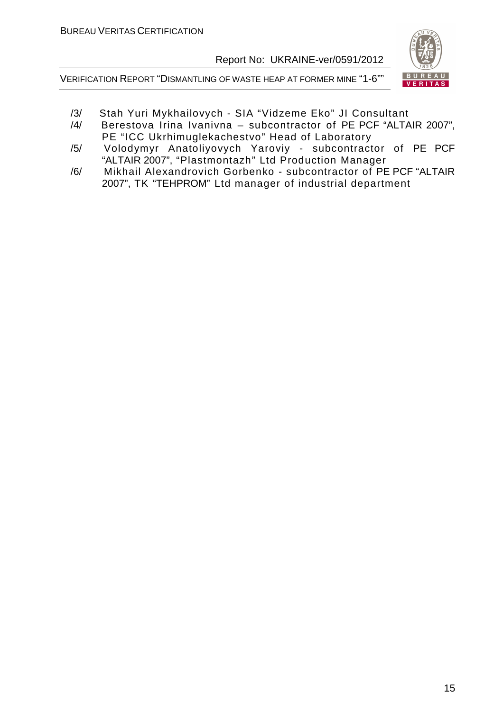



- /3/ Stah Yuri Mykhailovych SIA "Vidzeme Eko" JI Consultant
- /4/ Berestova Irina Ivanivna subcontractor of PE PCF "ALTAIR 2007", PE "ICC Ukrhimuglekachestvo" Head of Laboratory
- /5/ Volodymyr Anatoliyovych Yaroviy subcontractor of PE PCF "ALTAIR 2007", "Plastmontazh" Ltd Production Manager
- /6/ Mikhail Alexandrovich Gorbenko subcontractor of PE PCF "ALTAIR 2007", TK "TEHPROM" Ltd manager of industrial department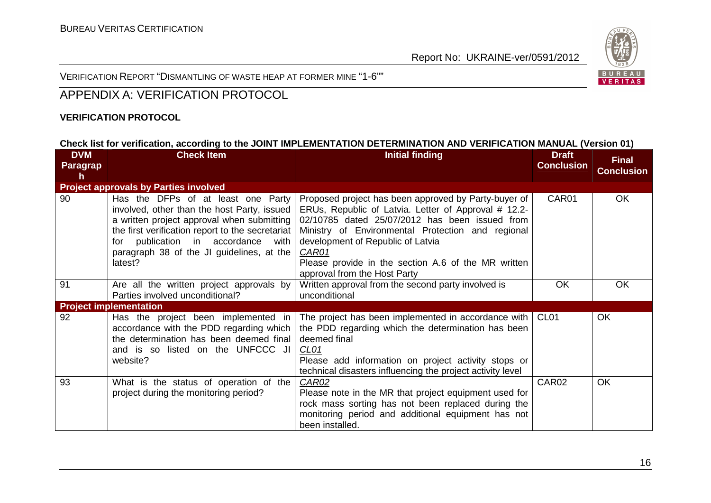

VERIFICATION REPORT "DISMANTLING OF WASTE HEAP AT FORMER MINE "1-6""

#### APPENDIX A: VERIFICATION PROTOCOL

#### **VERIFICATION PROTOCOL**

#### **Check list for verification, according to the JOINT IMPLEMENTATION DETERMINATION AND VERIFICATION MANUAL (Version 01)**

| <b>DVM</b> | <b>Check Item</b>                                                                                                                                                                                                                                                                      | <b>Initial finding</b>                                                                                                                                                                                                                                                                                                                                          | <b>Draft</b>      | <b>Final</b>      |
|------------|----------------------------------------------------------------------------------------------------------------------------------------------------------------------------------------------------------------------------------------------------------------------------------------|-----------------------------------------------------------------------------------------------------------------------------------------------------------------------------------------------------------------------------------------------------------------------------------------------------------------------------------------------------------------|-------------------|-------------------|
| Paragrap   |                                                                                                                                                                                                                                                                                        |                                                                                                                                                                                                                                                                                                                                                                 | <b>Conclusion</b> | <b>Conclusion</b> |
| h          |                                                                                                                                                                                                                                                                                        |                                                                                                                                                                                                                                                                                                                                                                 |                   |                   |
|            | <b>Project approvals by Parties involved</b>                                                                                                                                                                                                                                           |                                                                                                                                                                                                                                                                                                                                                                 |                   |                   |
| 90         | Has the DFPs of at least one Party<br>involved, other than the host Party, issued<br>a written project approval when submitting<br>the first verification report to the secretariat  <br>publication in accordance with<br>for<br>paragraph 38 of the JI guidelines, at the<br>latest? | Proposed project has been approved by Party-buyer of<br>ERUs, Republic of Latvia. Letter of Approval # 12.2-<br>02/10785 dated 25/07/2012 has been issued from<br>Ministry of Environmental Protection and regional<br>development of Republic of Latvia<br><b>CAR01</b><br>Please provide in the section A.6 of the MR written<br>approval from the Host Party | CAR01             | OK                |
| 91         | Are all the written project approvals by                                                                                                                                                                                                                                               | Written approval from the second party involved is                                                                                                                                                                                                                                                                                                              | <b>OK</b>         | <b>OK</b>         |
|            | Parties involved unconditional?                                                                                                                                                                                                                                                        | unconditional                                                                                                                                                                                                                                                                                                                                                   |                   |                   |
|            | <b>Project implementation</b>                                                                                                                                                                                                                                                          |                                                                                                                                                                                                                                                                                                                                                                 |                   |                   |
| 92         | Has the project been implemented in<br>accordance with the PDD regarding which<br>the determination has been deemed final<br>and is so listed on the UNFCCC JI<br>website?                                                                                                             | The project has been implemented in accordance with<br>the PDD regarding which the determination has been<br>deemed final<br>CL01<br>Please add information on project activity stops or<br>technical disasters influencing the project activity level                                                                                                          | CL <sub>01</sub>  | OK                |
| 93         | What is the status of operation of the<br>project during the monitoring period?                                                                                                                                                                                                        | CAR02<br>Please note in the MR that project equipment used for<br>rock mass sorting has not been replaced during the<br>monitoring period and additional equipment has not<br>been installed.                                                                                                                                                                   | CAR02             | <b>OK</b>         |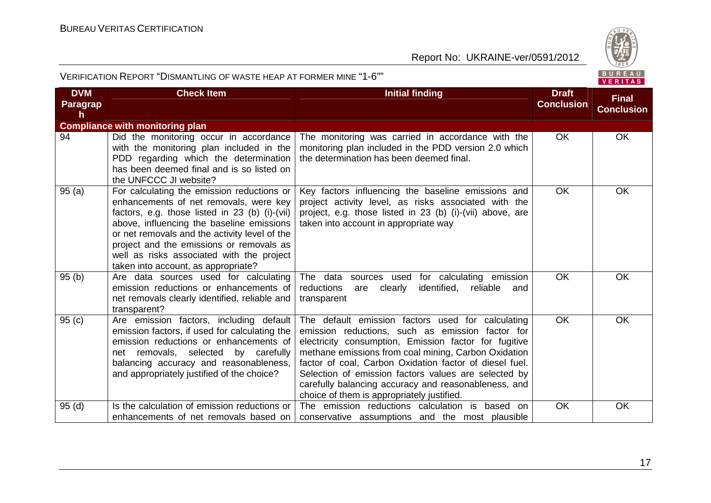

| <b>DVM</b><br>Paragrap<br>h. | <b>Check Item</b>                                                                                                                                                                                                                                                                                                                                                    | <b>Initial finding</b>                                                                                                                                                                                                                                                                                                                                                                                                                          | <b>Draft</b><br><b>Conclusion</b> | <b>Final</b><br><b>Conclusion</b> |
|------------------------------|----------------------------------------------------------------------------------------------------------------------------------------------------------------------------------------------------------------------------------------------------------------------------------------------------------------------------------------------------------------------|-------------------------------------------------------------------------------------------------------------------------------------------------------------------------------------------------------------------------------------------------------------------------------------------------------------------------------------------------------------------------------------------------------------------------------------------------|-----------------------------------|-----------------------------------|
|                              | <b>Compliance with monitoring plan</b>                                                                                                                                                                                                                                                                                                                               |                                                                                                                                                                                                                                                                                                                                                                                                                                                 |                                   |                                   |
| 94                           | Did the monitoring occur in accordance<br>with the monitoring plan included in the<br>PDD regarding which the determination<br>has been deemed final and is so listed on<br>the UNFCCC JI website?                                                                                                                                                                   | The monitoring was carried in accordance with the<br>monitoring plan included in the PDD version 2.0 which<br>the determination has been deemed final.                                                                                                                                                                                                                                                                                          | <b>OK</b>                         | OK                                |
| 95 (a)                       | For calculating the emission reductions or<br>enhancements of net removals, were key<br>factors, e.g. those listed in 23 (b) (i)-(vii)<br>above, influencing the baseline emissions<br>or net removals and the activity level of the<br>project and the emissions or removals as<br>well as risks associated with the project<br>taken into account, as appropriate? | Key factors influencing the baseline emissions and<br>project activity level, as risks associated with the<br>project, e.g. those listed in 23 (b) (i)-(vii) above, are<br>taken into account in appropriate way                                                                                                                                                                                                                                | <b>OK</b>                         | OK                                |
| 95 (b)                       | Are data sources used for calculating<br>emission reductions or enhancements of<br>net removals clearly identified, reliable and<br>transparent?                                                                                                                                                                                                                     | The data sources used for calculating emission<br>reductions<br>identified,<br>are<br>clearly<br>reliable<br>and<br>transparent                                                                                                                                                                                                                                                                                                                 | <b>OK</b>                         | <b>OK</b>                         |
| 95 (c)                       | Are emission factors, including default<br>emission factors, if used for calculating the<br>emission reductions or enhancements of<br>net removals, selected by carefully<br>balancing accuracy and reasonableness,<br>and appropriately justified of the choice?                                                                                                    | The default emission factors used for calculating<br>emission reductions, such as emission factor for<br>electricity consumption, Emission factor for fugitive<br>methane emissions from coal mining, Carbon Oxidation<br>factor of coal, Carbon Oxidation factor of diesel fuel.<br>Selection of emission factors values are selected by<br>carefully balancing accuracy and reasonableness, and<br>choice of them is appropriately justified. | <b>OK</b>                         | <b>OK</b>                         |
| 95 (d)                       | Is the calculation of emission reductions or<br>enhancements of net removals based on                                                                                                                                                                                                                                                                                | The emission reductions calculation is based on<br>conservative assumptions and the most plausible                                                                                                                                                                                                                                                                                                                                              | OK                                | OK                                |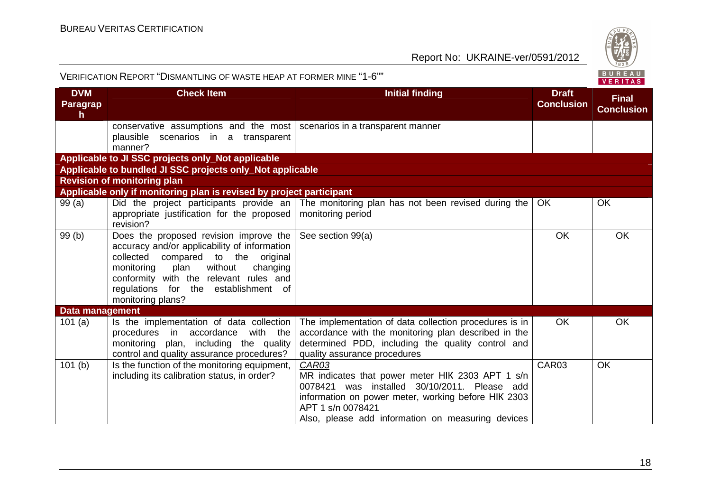

| <b>DVM</b>             | <b>Check Item</b>                                                                                                                                                                                                                                                                | <b>Initial finding</b>                                                                                                                                                                                                                     | <b>Draft</b>      | <b>Final</b>      |
|------------------------|----------------------------------------------------------------------------------------------------------------------------------------------------------------------------------------------------------------------------------------------------------------------------------|--------------------------------------------------------------------------------------------------------------------------------------------------------------------------------------------------------------------------------------------|-------------------|-------------------|
| Paragrap<br>h.         |                                                                                                                                                                                                                                                                                  |                                                                                                                                                                                                                                            | <b>Conclusion</b> | <b>Conclusion</b> |
|                        | conservative assumptions and the most   scenarios in a transparent manner<br>plausible scenarios in a transparent                                                                                                                                                                |                                                                                                                                                                                                                                            |                   |                   |
|                        | manner?                                                                                                                                                                                                                                                                          |                                                                                                                                                                                                                                            |                   |                   |
|                        | Applicable to JI SSC projects only_Not applicable                                                                                                                                                                                                                                |                                                                                                                                                                                                                                            |                   |                   |
|                        | Applicable to bundled JI SSC projects only_Not applicable                                                                                                                                                                                                                        |                                                                                                                                                                                                                                            |                   |                   |
|                        | <b>Revision of monitoring plan</b>                                                                                                                                                                                                                                               |                                                                                                                                                                                                                                            |                   |                   |
|                        | Applicable only if monitoring plan is revised by project participant                                                                                                                                                                                                             |                                                                                                                                                                                                                                            |                   |                   |
| 99(a)                  | appropriate justification for the proposed<br>revision?                                                                                                                                                                                                                          | Did the project participants provide an The monitoring plan has not been revised during the<br>monitoring period                                                                                                                           | <b>OK</b>         | OK                |
| 99 (b)                 | Does the proposed revision improve the<br>accuracy and/or applicability of information<br>collected compared to the original<br>without<br>plan<br>changing<br>monitoring<br>conformity with the relevant rules and<br>regulations for the establishment of<br>monitoring plans? | See section 99(a)                                                                                                                                                                                                                          | OK                | OK                |
| <b>Data management</b> |                                                                                                                                                                                                                                                                                  |                                                                                                                                                                                                                                            |                   |                   |
| 101(a)                 | Is the implementation of data collection<br>with the<br>procedures in accordance<br>plan, including the quality<br>monitoring<br>control and quality assurance procedures?                                                                                                       | The implementation of data collection procedures is in<br>accordance with the monitoring plan described in the<br>determined PDD, including the quality control and<br>quality assurance procedures                                        | <b>OK</b>         | <b>OK</b>         |
| 101(b)                 | Is the function of the monitoring equipment,<br>including its calibration status, in order?                                                                                                                                                                                      | CAR03<br>MR indicates that power meter HIK 2303 APT 1 s/n<br>0078421 was installed 30/10/2011. Please add<br>information on power meter, working before HIK 2303<br>APT 1 s/n 0078421<br>Also, please add information on measuring devices | CAR03             | <b>OK</b>         |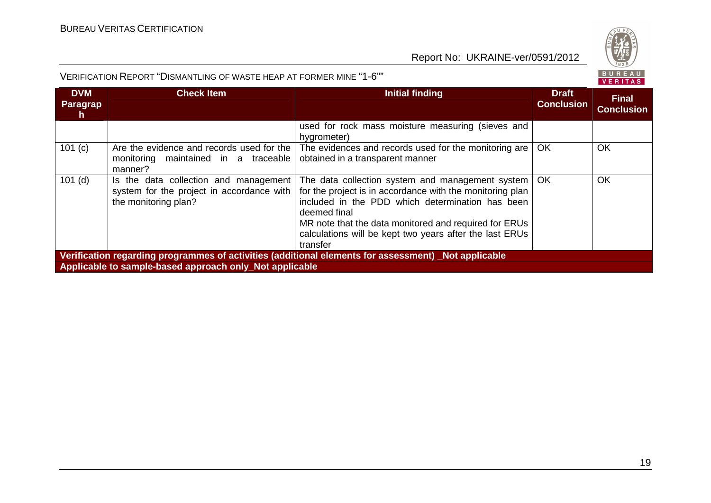



| <b>DVM</b><br><b>Paragrap</b><br>$\mathsf{h}$                                                       | <b>Check Item</b>                                                                                          | <b>Initial finding</b>                                                                                                                                                                                                                                                                                                 | <b>Draft</b><br><b>Conclusion</b> | <b>Final</b><br><b>Conclusion</b> |  |
|-----------------------------------------------------------------------------------------------------|------------------------------------------------------------------------------------------------------------|------------------------------------------------------------------------------------------------------------------------------------------------------------------------------------------------------------------------------------------------------------------------------------------------------------------------|-----------------------------------|-----------------------------------|--|
|                                                                                                     |                                                                                                            | used for rock mass moisture measuring (sieves and<br>hygrometer)                                                                                                                                                                                                                                                       |                                   |                                   |  |
| 101 (c)                                                                                             | Are the evidence and records used for the<br>monitoring maintained in a traceable<br>manner?               | The evidences and records used for the monitoring are<br>obtained in a transparent manner                                                                                                                                                                                                                              | <b>OK</b>                         | OK                                |  |
| $101$ (d)                                                                                           | Is the data collection and management<br>system for the project in accordance with<br>the monitoring plan? | The data collection system and management system   OK<br>for the project is in accordance with the monitoring plan<br>included in the PDD which determination has been<br>deemed final<br>MR note that the data monitored and required for ERUs<br>calculations will be kept two years after the last ERUs<br>transfer |                                   | OK                                |  |
| Verification regarding programmes of activities (additional elements for assessment) Not applicable |                                                                                                            |                                                                                                                                                                                                                                                                                                                        |                                   |                                   |  |
| Applicable to sample-based approach only_Not applicable                                             |                                                                                                            |                                                                                                                                                                                                                                                                                                                        |                                   |                                   |  |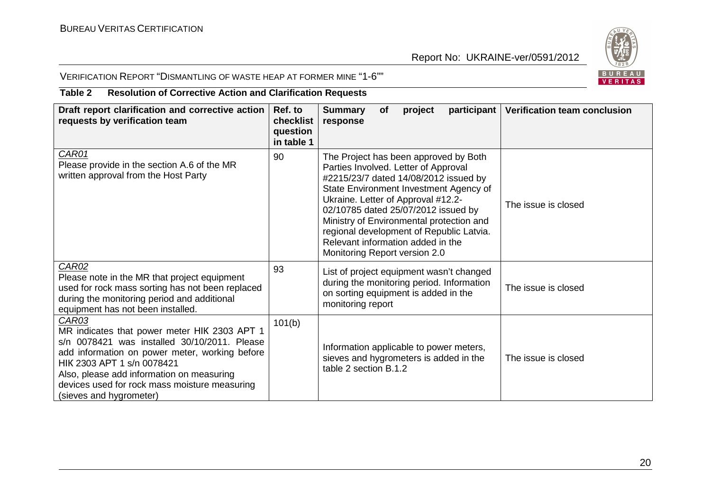

#### VERIFICATION REPORT "DISMANTLING OF WASTE HEAP AT FORMER MINE "1-6""

#### **Table 2 Resolution of Corrective Action and Clarification Requests**

| Draft report clarification and corrective action<br>requests by verification team                                                                                                                                                                                                                                     | Ref. to<br>checklist<br>question<br>in table 1 | <b>Summary</b><br><b>Verification team conclusion</b><br>participant  <br><b>of</b><br>project<br>response                                                                                                                                                                                                                                                                                                                         |  |
|-----------------------------------------------------------------------------------------------------------------------------------------------------------------------------------------------------------------------------------------------------------------------------------------------------------------------|------------------------------------------------|------------------------------------------------------------------------------------------------------------------------------------------------------------------------------------------------------------------------------------------------------------------------------------------------------------------------------------------------------------------------------------------------------------------------------------|--|
| CAR01<br>Please provide in the section A.6 of the MR<br>written approval from the Host Party                                                                                                                                                                                                                          | 90                                             | The Project has been approved by Both<br>Parties Involved. Letter of Approval<br>#2215/23/7 dated 14/08/2012 issued by<br>State Environment Investment Agency of<br>Ukraine. Letter of Approval #12.2-<br>The issue is closed<br>02/10785 dated 25/07/2012 issued by<br>Ministry of Environmental protection and<br>regional development of Republic Latvia.<br>Relevant information added in the<br>Monitoring Report version 2.0 |  |
| <b>CAR02</b><br>Please note in the MR that project equipment<br>used for rock mass sorting has not been replaced<br>during the monitoring period and additional<br>equipment has not been installed.                                                                                                                  | 93                                             | List of project equipment wasn't changed<br>during the monitoring period. Information<br>The issue is closed<br>on sorting equipment is added in the<br>monitoring report                                                                                                                                                                                                                                                          |  |
| <b>CAR03</b><br>MR indicates that power meter HIK 2303 APT 1<br>s/n 0078421 was installed 30/10/2011. Please<br>add information on power meter, working before<br>HIK 2303 APT 1 s/n 0078421<br>Also, please add information on measuring<br>devices used for rock mass moisture measuring<br>(sieves and hygrometer) | 101(b)                                         | Information applicable to power meters,<br>sieves and hygrometers is added in the<br>The issue is closed<br>table 2 section B.1.2                                                                                                                                                                                                                                                                                                  |  |